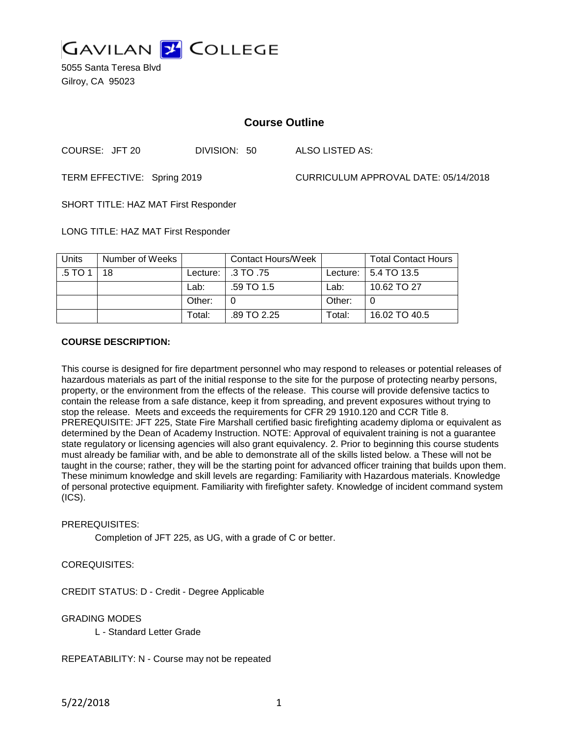

5055 Santa Teresa Blvd Gilroy, CA 95023

## **Course Outline**

COURSE: JFT 20 DIVISION: 50 ALSO LISTED AS:

TERM EFFECTIVE: Spring 2019 CURRICULUM APPROVAL DATE: 05/14/2018

SHORT TITLE: HAZ MAT First Responder

LONG TITLE: HAZ MAT First Responder

| <b>Units</b> | Number of Weeks |        | <b>Contact Hours/Week</b> |        | <b>Total Contact Hours</b> |
|--------------|-----------------|--------|---------------------------|--------|----------------------------|
| .5 TO 1      | 18              |        | Lecture:   .3 TO .75      |        | Lecture:   5.4 TO 13.5     |
|              |                 | Lab:   | .59 TO 1.5                | Lab:   | 10.62 TO 27                |
|              |                 | Other: | 0                         | Other: |                            |
|              |                 | Total: | .89 TO 2.25               | Total: | 16.02 TO 40.5              |

### **COURSE DESCRIPTION:**

This course is designed for fire department personnel who may respond to releases or potential releases of hazardous materials as part of the initial response to the site for the purpose of protecting nearby persons, property, or the environment from the effects of the release. This course will provide defensive tactics to contain the release from a safe distance, keep it from spreading, and prevent exposures without trying to stop the release. Meets and exceeds the requirements for CFR 29 1910.120 and CCR Title 8. PREREQUISITE: JFT 225, State Fire Marshall certified basic firefighting academy diploma or equivalent as determined by the Dean of Academy Instruction. NOTE: Approval of equivalent training is not a guarantee state regulatory or licensing agencies will also grant equivalency. 2. Prior to beginning this course students must already be familiar with, and be able to demonstrate all of the skills listed below. a These will not be taught in the course; rather, they will be the starting point for advanced officer training that builds upon them. These minimum knowledge and skill levels are regarding: Familiarity with Hazardous materials. Knowledge of personal protective equipment. Familiarity with firefighter safety. Knowledge of incident command system (ICS).

### PREREQUISITES:

Completion of JFT 225, as UG, with a grade of C or better.

### COREQUISITES:

CREDIT STATUS: D - Credit - Degree Applicable

GRADING MODES

L - Standard Letter Grade

REPEATABILITY: N - Course may not be repeated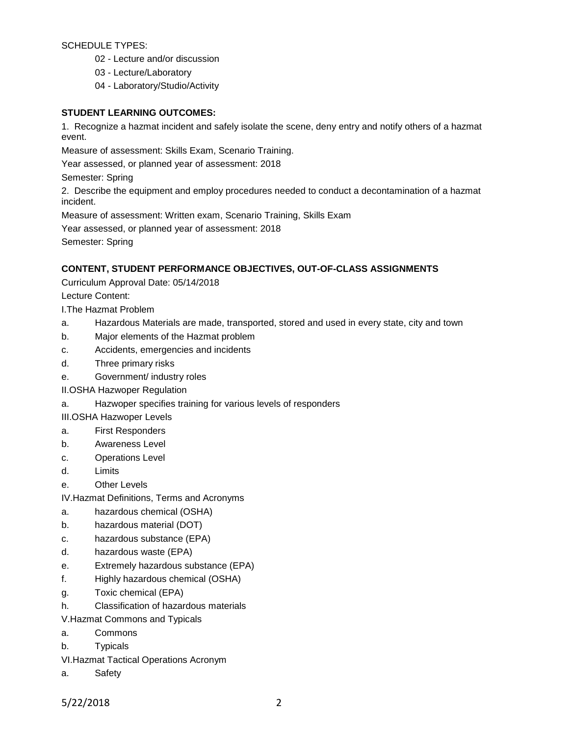## SCHEDULE TYPES:

- 02 Lecture and/or discussion
- 03 Lecture/Laboratory
- 04 Laboratory/Studio/Activity

## **STUDENT LEARNING OUTCOMES:**

1. Recognize a hazmat incident and safely isolate the scene, deny entry and notify others of a hazmat event.

Measure of assessment: Skills Exam, Scenario Training.

Year assessed, or planned year of assessment: 2018

Semester: Spring

2. Describe the equipment and employ procedures needed to conduct a decontamination of a hazmat incident.

Measure of assessment: Written exam, Scenario Training, Skills Exam

Year assessed, or planned year of assessment: 2018

Semester: Spring

## **CONTENT, STUDENT PERFORMANCE OBJECTIVES, OUT-OF-CLASS ASSIGNMENTS**

Curriculum Approval Date: 05/14/2018

Lecture Content:

I.The Hazmat Problem

- a. Hazardous Materials are made, transported, stored and used in every state, city and town
- b. Major elements of the Hazmat problem
- c. Accidents, emergencies and incidents
- d. Three primary risks
- e. Government/ industry roles
- II.OSHA Hazwoper Regulation
- a. Hazwoper specifies training for various levels of responders

III.OSHA Hazwoper Levels

- a. First Responders
- b. Awareness Level
- c. Operations Level
- d. Limits
- e. Other Levels

IV.Hazmat Definitions, Terms and Acronyms

- a. hazardous chemical (OSHA)
- b. hazardous material (DOT)
- c. hazardous substance (EPA)
- d. hazardous waste (EPA)
- e. Extremely hazardous substance (EPA)
- f. Highly hazardous chemical (OSHA)
- g. Toxic chemical (EPA)
- h. Classification of hazardous materials

V.Hazmat Commons and Typicals

- a. Commons
- b. Typicals
- VI.Hazmat Tactical Operations Acronym
- a. Safety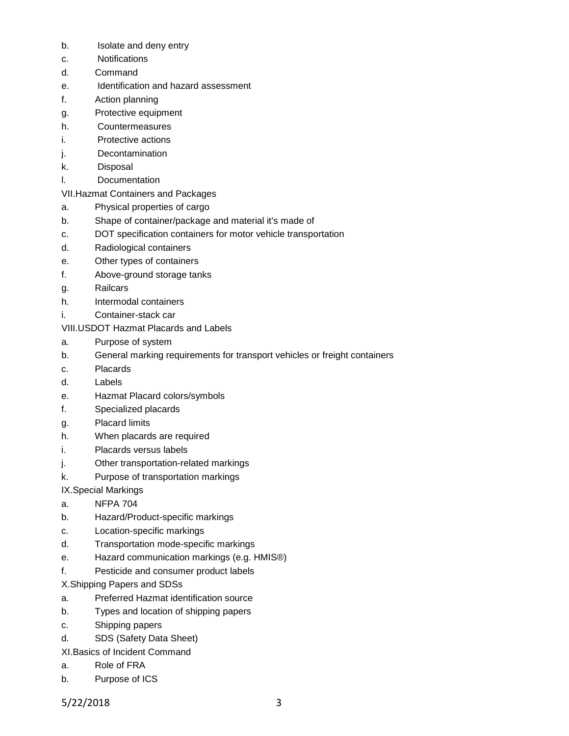- b. Isolate and deny entry
- c. Notifications
- d. Command
- e. Identification and hazard assessment
- f. Action planning
- g. Protective equipment
- h. Countermeasures
- i. Protective actions
- j. Decontamination
- k. Disposal
- l. Documentation

# VII.Hazmat Containers and Packages

- a. Physical properties of cargo
- b. Shape of container/package and material it's made of
- c. DOT specification containers for motor vehicle transportation
- d. Radiological containers
- e. Other types of containers
- f. Above-ground storage tanks
- g. Railcars
- h. Intermodal containers
- i. Container-stack car

# VIII.USDOT Hazmat Placards and Labels

- a. Purpose of system
- b. General marking requirements for transport vehicles or freight containers
- c. Placards
- d. Labels
- e. Hazmat Placard colors/symbols
- f. Specialized placards
- g. Placard limits
- h. When placards are required
- i. Placards versus labels
- j. Other transportation-related markings
- k. Purpose of transportation markings
- IX.Special Markings
- a. NFPA 704
- b. Hazard/Product-specific markings
- c. Location-specific markings
- d. Transportation mode-specific markings
- e. Hazard communication markings (e.g. HMIS®)
- f. Pesticide and consumer product labels
- X.Shipping Papers and SDSs
- a. Preferred Hazmat identification source
- b. Types and location of shipping papers
- c. Shipping papers
- d. SDS (Safety Data Sheet)
- XI.Basics of Incident Command
- a. Role of FRA
- b. Purpose of ICS

5/22/2018 3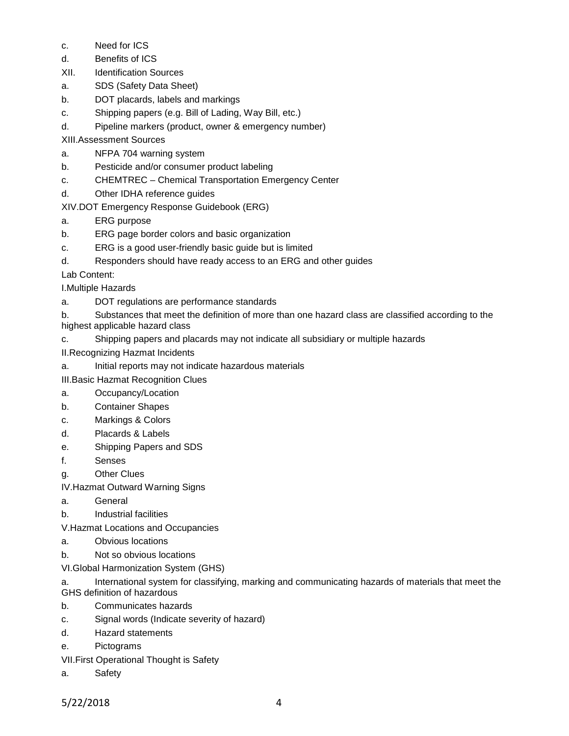- c. Need for ICS
- d. Benefits of ICS
- XII. Identification Sources
- a. SDS (Safety Data Sheet)
- b. DOT placards, labels and markings
- c. Shipping papers (e.g. Bill of Lading, Way Bill, etc.)
- d. Pipeline markers (product, owner & emergency number)

XIII.Assessment Sources

- a. NFPA 704 warning system
- b. Pesticide and/or consumer product labeling
- c. CHEMTREC Chemical Transportation Emergency Center
- d. Other IDHA reference guides

XIV.DOT Emergency Response Guidebook (ERG)

- a. ERG purpose
- b. ERG page border colors and basic organization
- c. ERG is a good user-friendly basic guide but is limited
- d. Responders should have ready access to an ERG and other guides

Lab Content:

I.Multiple Hazards

- a. DOT regulations are performance standards
- b. Substances that meet the definition of more than one hazard class are classified according to the highest applicable hazard class
- c. Shipping papers and placards may not indicate all subsidiary or multiple hazards
- II.Recognizing Hazmat Incidents
- a. Initial reports may not indicate hazardous materials
- III.Basic Hazmat Recognition Clues
- a. Occupancy/Location
- b. Container Shapes
- c. Markings & Colors
- d. Placards & Labels
- e. Shipping Papers and SDS
- f. Senses
- g. Other Clues
- IV.Hazmat Outward Warning Signs
- a. General
- b. Industrial facilities

V.Hazmat Locations and Occupancies

- a. Obvious locations
- b. Not so obvious locations
- VI.Global Harmonization System (GHS)
- a. International system for classifying, marking and communicating hazards of materials that meet the GHS definition of hazardous
- b. Communicates hazards
- c. Signal words (Indicate severity of hazard)
- d. Hazard statements
- e. Pictograms
- VII.First Operational Thought is Safety
- a. Safety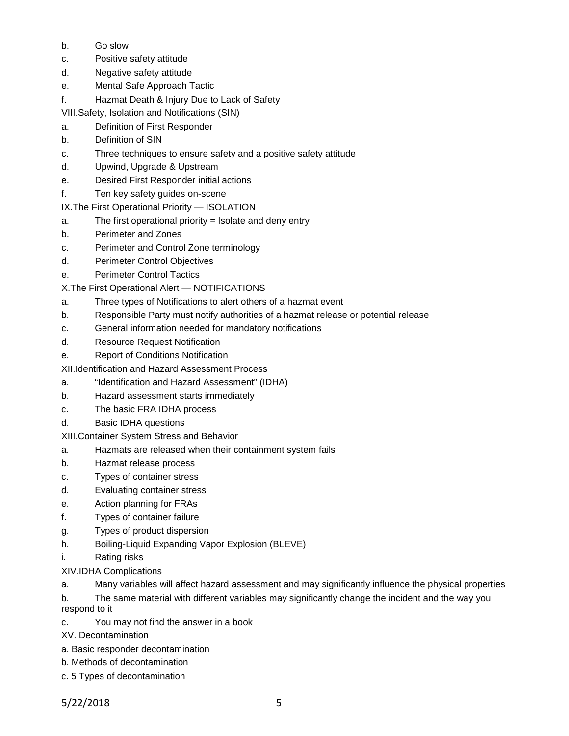- b. Go slow
- c. Positive safety attitude
- d. Negative safety attitude
- e. Mental Safe Approach Tactic
- f. Hazmat Death & Injury Due to Lack of Safety

VIII.Safety, Isolation and Notifications (SIN)

- a. Definition of First Responder
- b. Definition of SIN
- c. Three techniques to ensure safety and a positive safety attitude
- d. Upwind, Upgrade & Upstream
- e. Desired First Responder initial actions
- f. Ten key safety guides on-scene

IX.The First Operational Priority — ISOLATION

- a. The first operational priority  $=$  Isolate and deny entry
- b. Perimeter and Zones
- c. Perimeter and Control Zone terminology
- d. Perimeter Control Objectives
- e. Perimeter Control Tactics
- X.The First Operational Alert NOTIFICATIONS
- a. Three types of Notifications to alert others of a hazmat event
- b. Responsible Party must notify authorities of a hazmat release or potential release
- c. General information needed for mandatory notifications
- d. Resource Request Notification
- e. Report of Conditions Notification

XII.Identification and Hazard Assessment Process

- a. "Identification and Hazard Assessment" (IDHA)
- b. Hazard assessment starts immediately
- c. The basic FRA IDHA process
- d. Basic IDHA questions

XIII.Container System Stress and Behavior

- a. Hazmats are released when their containment system fails
- b. Hazmat release process
- c. Types of container stress
- d. Evaluating container stress
- e. Action planning for FRAs
- f. Types of container failure
- g. Types of product dispersion
- h. Boiling-Liquid Expanding Vapor Explosion (BLEVE)
- i. Rating risks

XIV.IDHA Complications

a. Many variables will affect hazard assessment and may significantly influence the physical properties

b. The same material with different variables may significantly change the incident and the way you respond to it

c. You may not find the answer in a book

XV. Decontamination

- a. Basic responder decontamination
- b. Methods of decontamination
- c. 5 Types of decontamination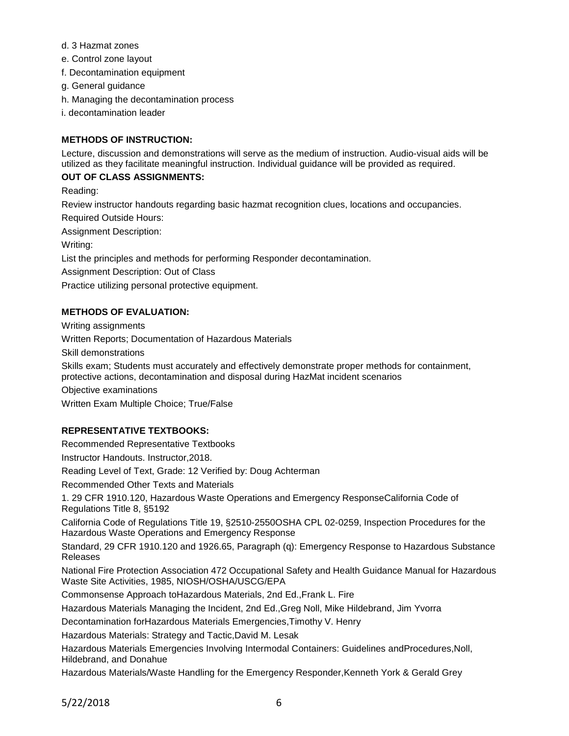- d. 3 Hazmat zones
- e. Control zone layout
- f. Decontamination equipment
- g. General guidance
- h. Managing the decontamination process
- i. decontamination leader

### **METHODS OF INSTRUCTION:**

Lecture, discussion and demonstrations will serve as the medium of instruction. Audio-visual aids will be utilized as they facilitate meaningful instruction. Individual guidance will be provided as required.

### **OUT OF CLASS ASSIGNMENTS:**

Reading:

Review instructor handouts regarding basic hazmat recognition clues, locations and occupancies. Required Outside Hours: Assignment Description:

Writing:

List the principles and methods for performing Responder decontamination.

Assignment Description: Out of Class

Practice utilizing personal protective equipment.

### **METHODS OF EVALUATION:**

Writing assignments

Written Reports; Documentation of Hazardous Materials

Skill demonstrations

Skills exam; Students must accurately and effectively demonstrate proper methods for containment, protective actions, decontamination and disposal during HazMat incident scenarios

Objective examinations

Written Exam Multiple Choice; True/False

## **REPRESENTATIVE TEXTBOOKS:**

Recommended Representative Textbooks

Instructor Handouts. Instructor,2018.

Reading Level of Text, Grade: 12 Verified by: Doug Achterman

Recommended Other Texts and Materials

1. 29 CFR 1910.120, Hazardous Waste Operations and Emergency ResponseCalifornia Code of Regulations Title 8, §5192

California Code of Regulations Title 19, §2510-2550OSHA CPL 02-0259, Inspection Procedures for the Hazardous Waste Operations and Emergency Response

Standard, 29 CFR 1910.120 and 1926.65, Paragraph (q): Emergency Response to Hazardous Substance Releases

National Fire Protection Association 472 Occupational Safety and Health Guidance Manual for Hazardous Waste Site Activities, 1985, NIOSH/OSHA/USCG/EPA

Commonsense Approach toHazardous Materials, 2nd Ed.,Frank L. Fire

Hazardous Materials Managing the Incident, 2nd Ed.,Greg Noll, Mike Hildebrand, Jim Yvorra

Decontamination forHazardous Materials Emergencies,Timothy V. Henry

Hazardous Materials: Strategy and Tactic,David M. Lesak

Hazardous Materials Emergencies Involving Intermodal Containers: Guidelines andProcedures,Noll, Hildebrand, and Donahue

Hazardous Materials/Waste Handling for the Emergency Responder,Kenneth York & Gerald Grey